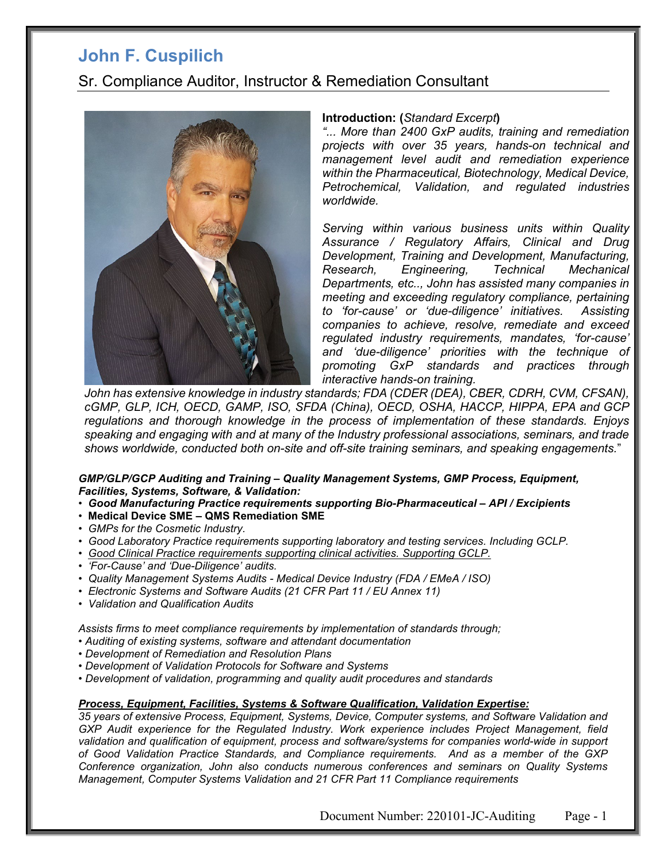## *0B***John F. Cuspilich**

### Sr. Compliance Auditor, Instructor & Remediation Consultant



#### **Introduction: (***Standard Excerpt***)**

*"... More than 2400 GxP audits, training and remediation projects with over 35 years, hands-on technical and management level audit and remediation experience within the Pharmaceutical, Biotechnology, Medical Device, Petrochemical, Validation, and regulated industries worldwide.*

*Serving within various business units within Quality Assurance / Regulatory Affairs, Clinical and Drug Development, Training and Development, Manufacturing, Research, Engineering, Technical Mechanical Departments, etc.., John has assisted many companies in meeting and exceeding regulatory compliance, pertaining to 'for-cause' or 'due-diligence' initiatives. Assisting companies to achieve, resolve, remediate and exceed regulated industry requirements, mandates, 'for-cause' and 'due-diligence' priorities with the technique of promoting GxP standards and practices through interactive hands-on training.*

*John has extensive knowledge in industry standards; FDA (CDER (DEA), CBER, CDRH, CVM, CFSAN), cGMP, GLP, ICH, OECD, GAMP, ISO, SFDA (China), OECD, OSHA, HACCP, HIPPA, EPA and GCP regulations and thorough knowledge in the process of implementation of these standards. Enjoys speaking and engaging with and at many of the Industry professional associations, seminars, and trade shows worldwide, conducted both on-site and off-site training seminars, and speaking engagements.*"

#### *GMP/GLP/GCP Auditing and Training – Quality Management Systems, GMP Process, Equipment, Facilities, Systems, Software, & Validation:*

- *Good Manufacturing Practice requirements supporting Bio-Pharmaceutical – API / Excipients*
- **Medical Device SME – QMS Remediation SME**
- *GMPs for the Cosmetic Industry.*
- *Good Laboratory Practice requirements supporting laboratory and testing services. Including GCLP.*
- *Good Clinical Practice requirements supporting clinical activities. Supporting GCLP.*
- *'For-Cause' and 'Due-Diligence' audits.*
- *Quality Management Systems Audits - Medical Device Industry (FDA / EMeA / ISO)*
- *Electronic Systems and Software Audits (21 CFR Part 11 / EU Annex 11)*
- *Validation and Qualification Audits*

*Assists firms to meet compliance requirements by implementation of standards through;* 

- *Auditing of existing systems, software and attendant documentation*
- *Development of Remediation and Resolution Plans*
- *Development of Validation Protocols for Software and Systems*
- *Development of validation, programming and quality audit procedures and standards*

#### *Process, Equipment, Facilities, Systems & Software Qualification, Validation Expertise:*

*35 years of extensive Process, Equipment, Systems, Device, Computer systems, and Software Validation and GXP Audit experience for the Regulated Industry. Work experience includes Project Management, field validation and qualification of equipment, process and software/systems for companies world-wide in support of Good Validation Practice Standards, and Compliance requirements. And as a member of the GXP Conference organization, John also conducts numerous conferences and seminars on Quality Systems Management, Computer Systems Validation and 21 CFR Part 11 Compliance requirements*

Document Number: 220101-JC-Auditing Page - 1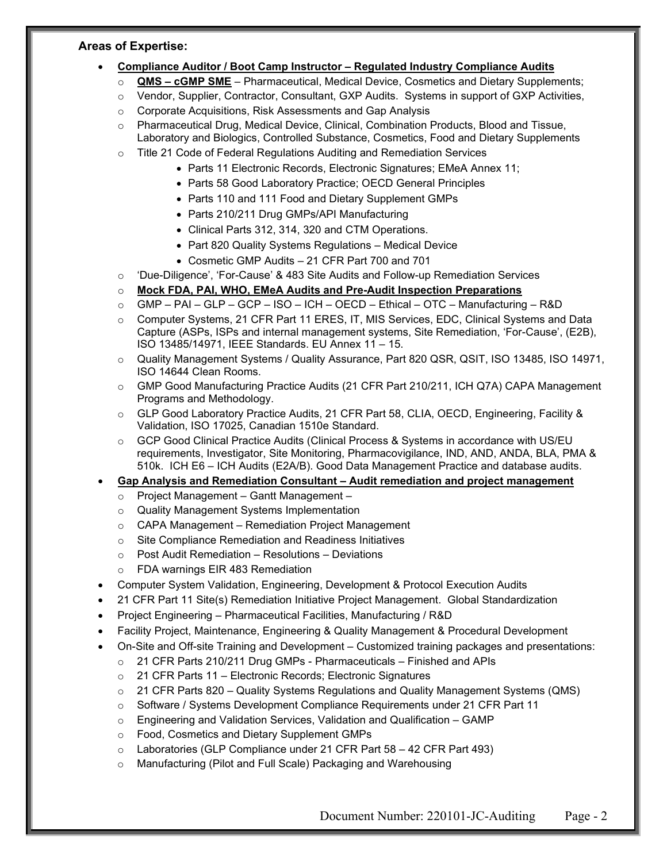#### **Areas of Expertise:**

- **Compliance Auditor / Boot Camp Instructor – Regulated Industry Compliance Audits**
	- o **QMS – cGMP SME** Pharmaceutical, Medical Device, Cosmetics and Dietary Supplements;
	- o Vendor, Supplier, Contractor, Consultant, GXP Audits. Systems in support of GXP Activities,
	- o Corporate Acquisitions, Risk Assessments and Gap Analysis
	- o Pharmaceutical Drug, Medical Device, Clinical, Combination Products, Blood and Tissue, Laboratory and Biologics, Controlled Substance, Cosmetics, Food and Dietary Supplements
	- o Title 21 Code of Federal Regulations Auditing and Remediation Services
		- Parts 11 Electronic Records, Electronic Signatures; EMeA Annex 11;
		- Parts 58 Good Laboratory Practice; OECD General Principles
		- Parts 110 and 111 Food and Dietary Supplement GMPs
		- Parts 210/211 Drug GMPs/API Manufacturing
		- Clinical Parts 312, 314, 320 and CTM Operations.
		- Part 820 Quality Systems Regulations Medical Device
		- Cosmetic GMP Audits 21 CFR Part 700 and 701
	- o 'Due-Diligence', 'For-Cause' & 483 Site Audits and Follow-up Remediation Services
	- o **Mock FDA, PAI, WHO, EMeA Audits and Pre-Audit Inspection Preparations**
	- $\circ$  GMP PAI GLP GCP ISO ICH OECD Ethical OTC Manufacturing R&D
	- o Computer Systems, 21 CFR Part 11 ERES, IT, MIS Services, EDC, Clinical Systems and Data Capture (ASPs, ISPs and internal management systems, Site Remediation, 'For-Cause', (E2B), ISO 13485/14971, IEEE Standards. EU Annex 11 – 15.
	- o Quality Management Systems / Quality Assurance, Part 820 QSR, QSIT, ISO 13485, ISO 14971, ISO 14644 Clean Rooms.
	- o GMP Good Manufacturing Practice Audits (21 CFR Part 210/211, ICH Q7A) CAPA Management Programs and Methodology.
	- o GLP Good Laboratory Practice Audits, 21 CFR Part 58, CLIA, OECD, Engineering, Facility & Validation, ISO 17025, Canadian 1510e Standard.
	- o GCP Good Clinical Practice Audits (Clinical Process & Systems in accordance with US/EU requirements, Investigator, Site Monitoring, Pharmacovigilance, IND, AND, ANDA, BLA, PMA & 510k. ICH E6 – ICH Audits (E2A/B). Good Data Management Practice and database audits.

• **Gap Analysis and Remediation Consultant – Audit remediation and project management**

- o Project Management Gantt Management –
- o Quality Management Systems Implementation
- o CAPA Management Remediation Project Management
- o Site Compliance Remediation and Readiness Initiatives
- o Post Audit Remediation Resolutions Deviations
- o FDA warnings EIR 483 Remediation
- Computer System Validation, Engineering, Development & Protocol Execution Audits
- 21 CFR Part 11 Site(s) Remediation Initiative Project Management. Global Standardization
- Project Engineering Pharmaceutical Facilities, Manufacturing / R&D
- Facility Project, Maintenance, Engineering & Quality Management & Procedural Development
- On-Site and Off-site Training and Development Customized training packages and presentations:
	- o 21 CFR Parts 210/211 Drug GMPs Pharmaceuticals Finished and APIs
		- o 21 CFR Parts 11 Electronic Records; Electronic Signatures
	- o 21 CFR Parts 820 Quality Systems Regulations and Quality Management Systems (QMS)
	- o Software / Systems Development Compliance Requirements under 21 CFR Part 11
	- $\circ$  Engineering and Validation Services, Validation and Qualification GAMP
	- o Food, Cosmetics and Dietary Supplement GMPs
	- o Laboratories (GLP Compliance under 21 CFR Part 58 42 CFR Part 493)
	- o Manufacturing (Pilot and Full Scale) Packaging and Warehousing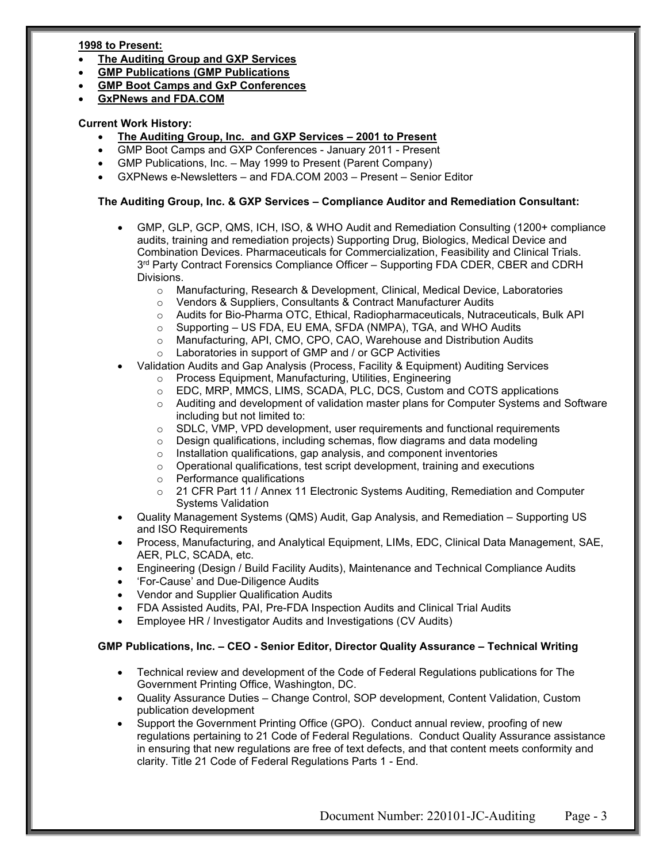#### *<sup>U</sup>***1998 to Present:**

- **The Auditing Group and GXP Services**
- **GMP Publications (GMP Publications**
- **GMP Boot Camps and GxP Conferences**
- **GxPNews and FDA.COM**

#### **Current Work History:**

- **The Auditing Group, Inc. and GXP Services – 2001 to Present**
- GMP Boot Camps and GXP Conferences January 2011 Present
- GMP Publications, Inc. May 1999 to Present (Parent Company)
- GXPNews e-Newsletters and FDA.COM 2003 Present Senior Editor

#### **The Auditing Group, Inc. & GXP Services – Compliance Auditor and Remediation Consultant:**

- GMP, GLP, GCP, QMS, ICH, ISO, & WHO Audit and Remediation Consulting (1200+ compliance audits, training and remediation projects) Supporting Drug, Biologics, Medical Device and Combination Devices. Pharmaceuticals for Commercialization, Feasibility and Clinical Trials. 3<sup>rd</sup> Party Contract Forensics Compliance Officer – Supporting FDA CDER, CBER and CDRH Divisions.
	- Manufacturing, Research & Development, Clinical, Medical Device, Laboratories<br>○ Vendors & Suppliers, Consultants & Contract Manufacturer Audits
	- o Vendors & Suppliers, Consultants & Contract Manufacturer Audits<br>○ Audits for Bio-Pharma OTC, Ethical, Radiopharmaceuticals, Nutrad
	- o Audits for Bio-Pharma OTC, Ethical, Radiopharmaceuticals, Nutraceuticals, Bulk API<br>○ Supporting US FDA, EU EMA, SFDA (NMPA), TGA, and WHO Audits
	- Supporting US FDA, EU EMA, SFDA (NMPA), TGA, and WHO Audits
	- o Manufacturing, API, CMO, CPO, CAO, Warehouse and Distribution Audits
	- o Laboratories in support of GMP and / or GCP Activities
- Validation Audits and Gap Analysis (Process, Facility & Equipment) Auditing Services
	- o Process Equipment, Manufacturing, Utilities, Engineering
	- o EDC, MRP, MMCS, LIMS, SCADA, PLC, DCS, Custom and COTS applications
	- o Auditing and development of validation master plans for Computer Systems and Software including but not limited to:
	- $\circ$  SDLC, VMP, VPD development, user requirements and functional requirements  $\circ$  Design qualifications, including schemas, flow diagrams and data modeling
	- $\circ$  Design qualifications, including schemas, flow diagrams and data modeling  $\circ$  Installation qualifications, qap analysis, and component inventories
	- $\circ$  Installation qualifications, gap analysis, and component inventories  $\circ$  Operational qualifications, test script development, training and exe
	- Operational qualifications, test script development, training and executions
	- o Performance qualifications
	- o 21 CFR Part 11 / Annex 11 Electronic Systems Auditing, Remediation and Computer Systems Validation
- Quality Management Systems (QMS) Audit, Gap Analysis, and Remediation Supporting US and ISO Requirements
- Process, Manufacturing, and Analytical Equipment, LIMs, EDC, Clinical Data Management, SAE, AER, PLC, SCADA, etc.
- Engineering (Design / Build Facility Audits), Maintenance and Technical Compliance Audits
- 'For-Cause' and Due-Diligence Audits
- Vendor and Supplier Qualification Audits
- FDA Assisted Audits, PAI, Pre-FDA Inspection Audits and Clinical Trial Audits
- Employee HR / Investigator Audits and Investigations (CV Audits)

#### **GMP Publications, Inc. – CEO - Senior Editor, Director Quality Assurance – Technical Writing**

- Technical review and development of the Code of Federal Regulations publications for The Government Printing Office, Washington, DC.
- Quality Assurance Duties Change Control, SOP development, Content Validation, Custom publication development
- Support the Government Printing Office (GPO). Conduct annual review, proofing of new regulations pertaining to 21 Code of Federal Regulations. Conduct Quality Assurance assistance in ensuring that new regulations are free of text defects, and that content meets conformity and clarity. Title 21 Code of Federal Regulations Parts 1 - End.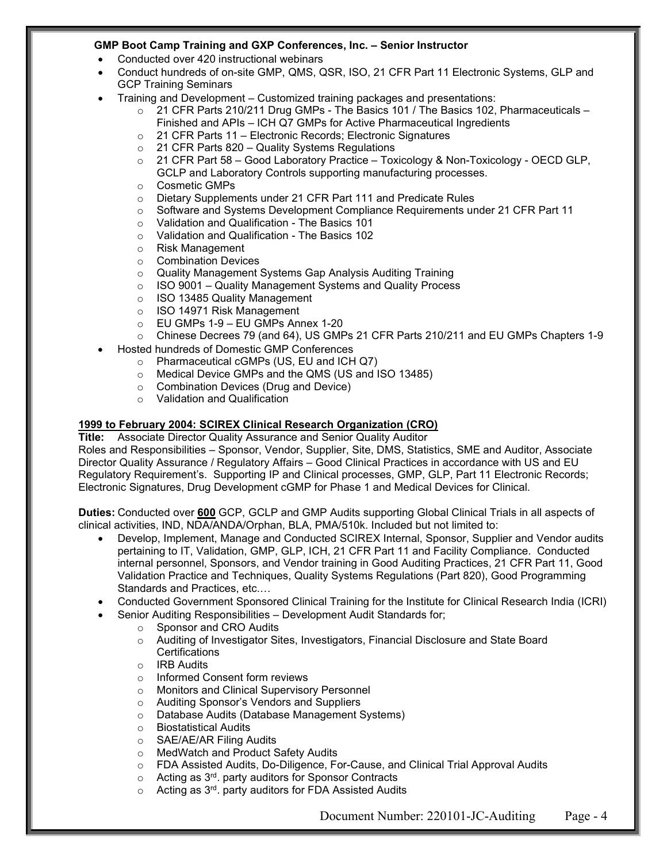#### **GMP Boot Camp Training and GXP Conferences, Inc. – Senior Instructor**

- Conducted over 420 instructional webinars
- Conduct hundreds of on-site GMP, QMS, QSR, ISO, 21 CFR Part 11 Electronic Systems, GLP and GCP Training Seminars
- Training and Development Customized training packages and presentations:
	- $\circ$  21 CFR Parts 210/211 Drug GMPs The Basics 101 / The Basics 102, Pharmaceuticals Finished and APIs – ICH Q7 GMPs for Active Pharmaceutical Ingredients
	- o 21 CFR Parts 11 Electronic Records; Electronic Signatures<br>○ 21 CFR Parts 820 Quality Systems Regulations
	- $\circ$  21 CFR Parts 820 Quality Systems Regulations<br> $\circ$  21 CFR Part 58 Good Laboratory Practice Tox
	- 21 CFR Part 58 Good Laboratory Practice Toxicology & Non-Toxicology OECD GLP, GCLP and Laboratory Controls supporting manufacturing processes.
	- o Cosmetic GMPs<br>○ Dietary Supplem
	- o Dietary Supplements under 21 CFR Part 111 and Predicate Rules<br>○ Software and Systems Development Compliance Requirements ur
	- Software and Systems Development Compliance Requirements under 21 CFR Part 11
	- $\circ$  Validation and Qualification The Basics 101<br> $\circ$  Validation and Qualification The Basics 102
	- Validation and Qualification The Basics 102
	- o Risk Management
	- Combination Devices<br>○ Quality Management :
	-
	- o Quality Management Systems Gap Analysis Auditing Training<br>
	o ISO 9001 Quality Management Systems and Quality Proces ISO 9001 – Quality Management Systems and Quality Process
	- $\circ$  ISO 13485 Quality Management<br> $\circ$  ISO 14971 Risk Management
	- ISO 14971 Risk Management
	- o EU GMPs 1-9 EU GMPs Annex 1-20
	- o Chinese Decrees 79 (and 64), US GMPs 21 CFR Parts 210/211 and EU GMPs Chapters 1-9
- Hosted hundreds of Domestic GMP Conferences
	- o Pharmaceutical cGMPs (US, EU and ICH Q7)
	- o Medical Device GMPs and the QMS (US and ISO 13485)
	- o Combination Devices (Drug and Device)
	- o Validation and Qualification

# **1999 to February 2004: SCIREX Clinical Research Organization (CRO)**

#### Associate Director Quality Assurance and Senior Quality Auditor

Roles and Responsibilities – Sponsor, Vendor, Supplier, Site, DMS, Statistics, SME and Auditor, Associate Director Quality Assurance / Regulatory Affairs – Good Clinical Practices in accordance with US and EU Regulatory Requirement's. Supporting IP and Clinical processes, GMP, GLP, Part 11 Electronic Records; Electronic Signatures, Drug Development cGMP for Phase 1 and Medical Devices for Clinical.

**Duties:** Conducted over **600** GCP, GCLP and GMP Audits supporting Global Clinical Trials in all aspects of clinical activities, IND, NDA/ANDA/Orphan, BLA, PMA/510k. Included but not limited to:

- Develop, Implement, Manage and Conducted SCIREX Internal, Sponsor, Supplier and Vendor audits pertaining to IT, Validation, GMP, GLP, ICH, 21 CFR Part 11 and Facility Compliance. Conducted internal personnel, Sponsors, and Vendor training in Good Auditing Practices, 21 CFR Part 11, Good Validation Practice and Techniques, Quality Systems Regulations (Part 820), Good Programming Standards and Practices, etc.…
- Conducted Government Sponsored Clinical Training for the Institute for Clinical Research India (ICRI)
- Senior Auditing Responsibilities Development Audit Standards for;
	- o Sponsor and CRO Audits
	- o Auditing of Investigator Sites, Investigators, Financial Disclosure and State Board **Certifications**
	- o IRB Audits<br>o Informed C
	- Informed Consent form reviews
	- o Monitors and Clinical Supervisory Personnel
	- o Auditing Sponsor's Vendors and Suppliers
	- o Database Audits (Database Management Systems)
	-
	- Biostatistical Audits<br>○ SAE/AE/AR Filing A ○ SAE/AE/AR Filing Audits<br>○ MedWatch and Product S
	- MedWatch and Product Safety Audits
	- $\circ$  FDA Assisted Audits, Do-Diligence, For-Cause, and Clinical Trial Approval Audits<br>  $\circ$  Acting as 3<sup>rd</sup>. party auditors for Sponsor Contracts
	- Acting as 3<sup>rd</sup>. party auditors for Sponsor Contracts
	- Acting as 3<sup>rd</sup>. party auditors for FDA Assisted Audits

Document Number: 220101-JC-Auditing Page - 4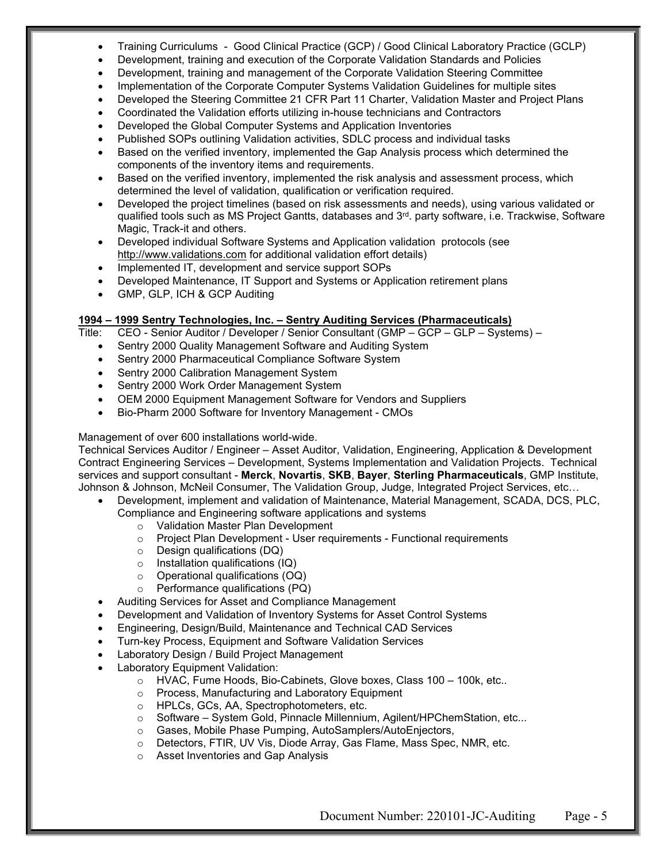- Training Curriculums Good Clinical Practice (GCP) / Good Clinical Laboratory Practice (GCLP)
- Development, training and execution of the Corporate Validation Standards and Policies
- Development, training and management of the Corporate Validation Steering Committee
- Implementation of the Corporate Computer Systems Validation Guidelines for multiple sites
- Developed the Steering Committee 21 CFR Part 11 Charter, Validation Master and Project Plans
- Coordinated the Validation efforts utilizing in-house technicians and Contractors
- Developed the Global Computer Systems and Application Inventories
- Published SOPs outlining Validation activities, SDLC process and individual tasks
- Based on the verified inventory, implemented the Gap Analysis process which determined the components of the inventory items and requirements.
- Based on the verified inventory, implemented the risk analysis and assessment process, which determined the level of validation, qualification or verification required.
- Developed the project timelines (based on risk assessments and needs), using various validated or qualified tools such as MS Project Gantts, databases and 3rd. party software, i.e. Trackwise, Software Magic, Track-it and others.
- Developed individual Software Systems and Application validation protocols (see [http://www.validations.com](http://www.validations.com/) for additional validation effort details)
- Implemented IT, development and service support SOPs
- Developed Maintenance, IT Support and Systems or Application retirement plans
- GMP, GLP, ICH & GCP Auditing

# **1994 – 1999 Sentry Technologies, Inc. – Sentry Auditing Services (Pharmaceuticals)**

- CEO Senior Auditor / Developer / Senior Consultant (GMP GCP GLP Systems)
	- Sentry 2000 Quality Management Software and Auditing System
	- Sentry 2000 Pharmaceutical Compliance Software System
	- Sentry 2000 Calibration Management System
	- Sentry 2000 Work Order Management System
	- OEM 2000 Equipment Management Software for Vendors and Suppliers
	- Bio-Pharm 2000 Software for Inventory Management CMOs

#### Management of over 600 installations world-wide.

Technical Services Auditor / Engineer – Asset Auditor, Validation, Engineering, Application & Development Contract Engineering Services – Development, Systems Implementation and Validation Projects. Technical services and support consultant - **Merck**, **Novartis**, **SKB**, **Bayer**, **Sterling Pharmaceuticals**, GMP Institute, Johnson & Johnson, McNeil Consumer, The Validation Group, Judge, Integrated Project Services, etc…

- Development, implement and validation of Maintenance, Material Management, SCADA, DCS, PLC, Compliance and Engineering software applications and systems
	-
	- o Validation Master Plan Development<br>○ Project Plan Development User requ Project Plan Development - User requirements - Functional requirements
	- o Design qualifications (DQ)
	- $\circ$  Installation qualifications (IQ)
	- o Operational qualifications (OQ)
	- o Performance qualifications (PQ)
- Auditing Services for Asset and Compliance Management
- Development and Validation of Inventory Systems for Asset Control Systems
- Engineering, Design/Build, Maintenance and Technical CAD Services
- Turn-key Process, Equipment and Software Validation Services
- Laboratory Design / Build Project Management
- Laboratory Equipment Validation:
	- o HVAC, Fume Hoods, Bio-Cabinets, Glove boxes, Class 100 100k, etc..
	- o Process, Manufacturing and Laboratory Equipment o HPLCs, GCs, AA, Spectrophotometers, etc.
	-
	- o HPLCs, GCs, AA, Spectrophotometers, etc.<br>○ Software System Gold, Pinnacle Millenniui o Software – System Gold, Pinnacle Millennium, Agilent/HPChemStation, etc...<br>○ Gases, Mobile Phase Pumping, AutoSamplers/AutoEnjectors,
	- Gases, Mobile Phase Pumping, AutoSamplers/AutoEnjectors,
	- o Detectors, FTIR, UV Vis, Diode Array, Gas Flame, Mass Spec, NMR, etc.
	- o Asset Inventories and Gap Analysis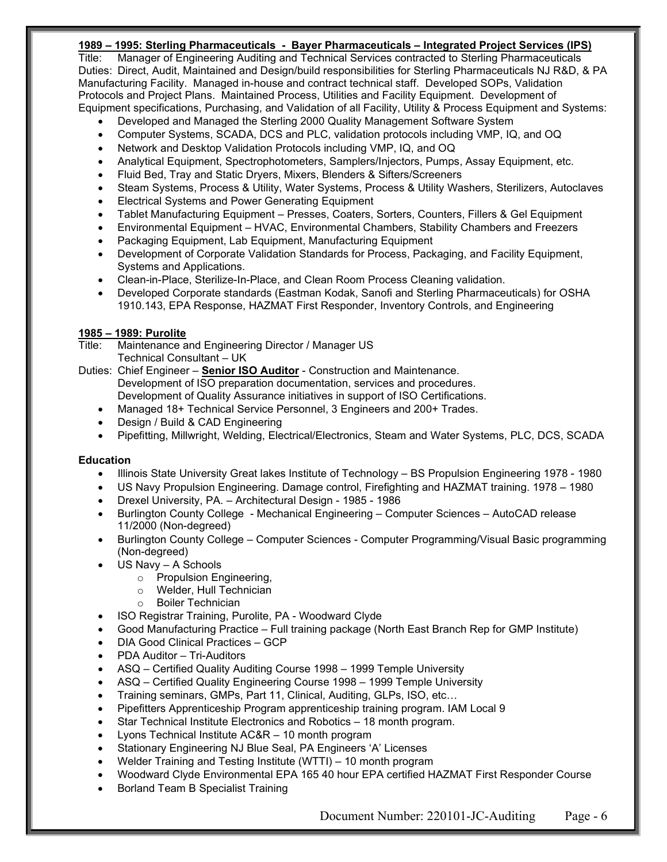#### **1989 – 1995: Sterling Pharmaceuticals - Bayer Pharmaceuticals – Integrated Project Services (IPS)**

Title: Manager of Engineering Auditing and Technical Services contracted to Sterling Pharmaceuticals Duties: Direct, Audit, Maintained and Design/build responsibilities for Sterling Pharmaceuticals NJ R&D, & PA Manufacturing Facility. Managed in-house and contract technical staff. Developed SOPs, Validation Protocols and Project Plans. Maintained Process, Utilities and Facility Equipment. Development of Equipment specifications, Purchasing, and Validation of all Facility, Utility & Process Equipment and Systems:

- Developed and Managed the Sterling 2000 Quality Management Software System
- Computer Systems, SCADA, DCS and PLC, validation protocols including VMP, IQ, and OQ
- Network and Desktop Validation Protocols including VMP, IQ, and OQ
- Analytical Equipment, Spectrophotometers, Samplers/Injectors, Pumps, Assay Equipment, etc.
- Fluid Bed, Tray and Static Dryers, Mixers, Blenders & Sifters/Screeners
- Steam Systems, Process & Utility, Water Systems, Process & Utility Washers, Sterilizers, Autoclaves
- Electrical Systems and Power Generating Equipment
- Tablet Manufacturing Equipment Presses, Coaters, Sorters, Counters, Fillers & Gel Equipment
- Environmental Equipment HVAC, Environmental Chambers, Stability Chambers and Freezers
- Packaging Equipment, Lab Equipment, Manufacturing Equipment
- Development of Corporate Validation Standards for Process, Packaging, and Facility Equipment, Systems and Applications.
- Clean-in-Place, Sterilize-In-Place, and Clean Room Process Cleaning validation.
- Developed Corporate standards (Eastman Kodak, Sanofi and Sterling Pharmaceuticals) for OSHA 1910.143, EPA Response, HAZMAT First Responder, Inventory Controls, and Engineering

#### **1985 – 1989: Purolite**

Title: Maintenance and Engineering Director / Manager US Technical Consultant – UK

Duties: Chief Engineer – **Senior ISO Auditor** - Construction and Maintenance. Development of ISO preparation documentation, services and procedures. Development of Quality Assurance initiatives in support of ISO Certifications.

- Managed 18+ Technical Service Personnel, 3 Engineers and 200+ Trades.
- Design / Build & CAD Engineering
- Pipefitting, Millwright, Welding, Electrical/Electronics, Steam and Water Systems, PLC, DCS, SCADA

#### **Education**

- Illinois State University Great lakes Institute of Technology BS Propulsion Engineering 1978 1980
- US Navy Propulsion Engineering. Damage control, Firefighting and HAZMAT training. 1978 1980
- Drexel University, PA. Architectural Design 1985 1986
- Burlington County College Mechanical Engineering Computer Sciences AutoCAD release 11/2000 (Non-degreed)
- Burlington County College Computer Sciences Computer Programming/Visual Basic programming (Non-degreed)
- US Navy A Schools
	- Propulsion Engineering,<br>○ Welder, Hull Technician
	- Welder, Hull Technician
	- o Boiler Technician
- ISO Registrar Training, Purolite, PA Woodward Clyde
- Good Manufacturing Practice Full training package (North East Branch Rep for GMP Institute)
- DIA Good Clinical Practices GCP
- PDA Auditor Tri-Auditors
- ASQ Certified Quality Auditing Course 1998 1999 Temple University
- ASQ Certified Quality Engineering Course 1998 1999 Temple University
- Training seminars, GMPs, Part 11, Clinical, Auditing, GLPs, ISO, etc…
- Pipefitters Apprenticeship Program apprenticeship training program. IAM Local 9
- Star Technical Institute Electronics and Robotics 18 month program.
- Lyons Technical Institute AC&R 10 month program
- Stationary Engineering NJ Blue Seal, PA Engineers 'A' Licenses
- Welder Training and Testing Institute (WTTI) 10 month program
- Woodward Clyde Environmental EPA 165 40 hour EPA certified HAZMAT First Responder Course
- Borland Team B Specialist Training

Document Number: 220101-JC-Auditing Page - 6